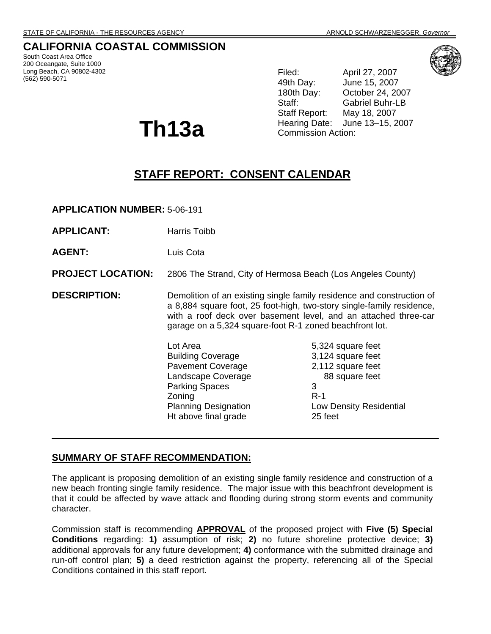# **CALIFORNIA COASTAL COMMISSION**

South Coast Area Office 200 Oceangate, Suite 1000 Long Beach, CA 90802-4302 (562) 590-5071

**Th13a**

Filed: April 27, 2007 49th Day: June 15, 2007 180th Day: October 24, 2007 Staff: Gabriel Buhr-LB Staff Report: May 18, 2007 Hearing Date: June 13–15, 2007 Commission Action:

# **STAFF REPORT: CONSENT CALENDAR**

**APPLICATION NUMBER:** 5-06-191

| <b>APPLICANT:</b>        | Harris Toibb                                                                                                                                                                                                                                                                 |                                                                                                                                   |
|--------------------------|------------------------------------------------------------------------------------------------------------------------------------------------------------------------------------------------------------------------------------------------------------------------------|-----------------------------------------------------------------------------------------------------------------------------------|
| <b>AGENT:</b>            | Luis Cota                                                                                                                                                                                                                                                                    |                                                                                                                                   |
| <b>PROJECT LOCATION:</b> | 2806 The Strand, City of Hermosa Beach (Los Angeles County)                                                                                                                                                                                                                  |                                                                                                                                   |
| <b>DESCRIPTION:</b>      | Demolition of an existing single family residence and construction of<br>a 8,884 square foot, 25 foot-high, two-story single-family residence,<br>with a roof deck over basement level, and an attached three-car<br>garage on a 5,324 square-foot R-1 zoned beachfront lot. |                                                                                                                                   |
|                          | Lot Area<br><b>Building Coverage</b><br><b>Pavement Coverage</b><br>Landscape Coverage<br><b>Parking Spaces</b><br>Zoning<br><b>Planning Designation</b><br>Ht above final grade                                                                                             | 5,324 square feet<br>3,124 square feet<br>2,112 square feet<br>88 square feet<br>3<br>$R-1$<br>Low Density Residential<br>25 feet |

## **SUMMARY OF STAFF RECOMMENDATION:**

The applicant is proposing demolition of an existing single family residence and construction of a new beach fronting single family residence. The major issue with this beachfront development is that it could be affected by wave attack and flooding during strong storm events and community character.

Commission staff is recommending **APPROVAL** of the proposed project with **Five (5) Special Conditions** regarding: **1)** assumption of risk; **2)** no future shoreline protective device; **3)** additional approvals for any future development; **4)** conformance with the submitted drainage and run-off control plan; **5)** a deed restriction against the property, referencing all of the Special Conditions contained in this staff report.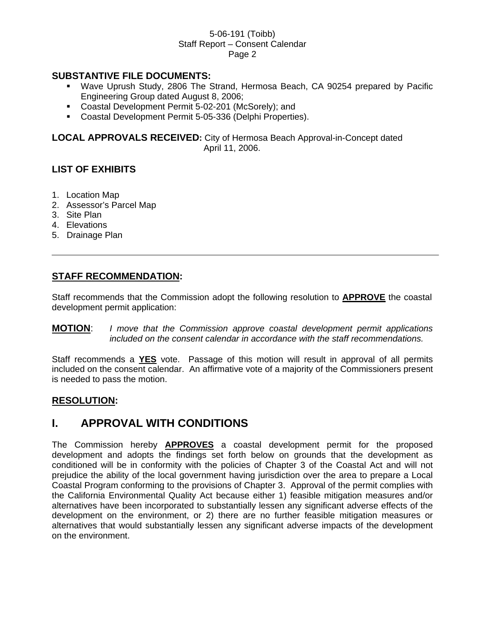## **SUBSTANTIVE FILE DOCUMENTS:**

- Wave Uprush Study, 2806 The Strand, Hermosa Beach, CA 90254 prepared by Pacific Engineering Group dated August 8, 2006;
- Coastal Development Permit 5-02-201 (McSorely); and
- Coastal Development Permit 5-05-336 (Delphi Properties).

**LOCAL APPROVALS RECEIVED:** City of Hermosa Beach Approval-in-Concept dated April 11, 2006.

# **LIST OF EXHIBITS**

- 1. Location Map
- 2. Assessor's Parcel Map
- 3. Site Plan
- 4. Elevations
- 5. Drainage Plan

# **STAFF RECOMMENDATION:**

Staff recommends that the Commission adopt the following resolution to **APPROVE** the coastal development permit application:

**MOTION**: *I move that the Commission approve coastal development permit applications included on the consent calendar in accordance with the staff recommendations.* 

Staff recommends a **YES** vote. Passage of this motion will result in approval of all permits included on the consent calendar. An affirmative vote of a majority of the Commissioners present is needed to pass the motion.

## **RESOLUTION:**

# **I. APPROVAL WITH CONDITIONS**

The Commission hereby **APPROVES** a coastal development permit for the proposed development and adopts the findings set forth below on grounds that the development as conditioned will be in conformity with the policies of Chapter 3 of the Coastal Act and will not prejudice the ability of the local government having jurisdiction over the area to prepare a Local Coastal Program conforming to the provisions of Chapter 3. Approval of the permit complies with the California Environmental Quality Act because either 1) feasible mitigation measures and/or alternatives have been incorporated to substantially lessen any significant adverse effects of the development on the environment, or 2) there are no further feasible mitigation measures or alternatives that would substantially lessen any significant adverse impacts of the development on the environment.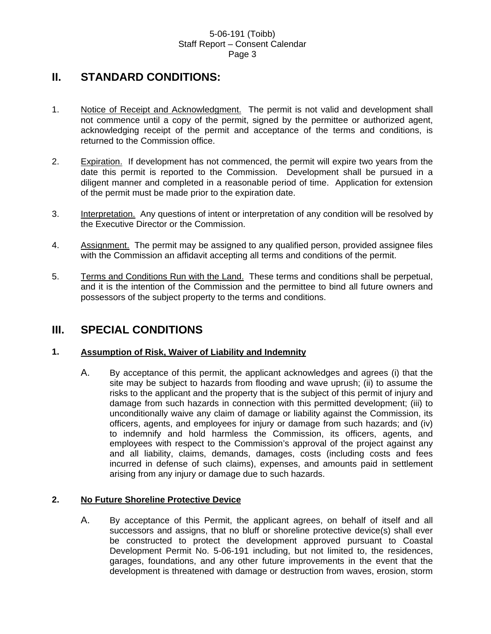# **II. STANDARD CONDITIONS:**

- 1. Notice of Receipt and Acknowledgment. The permit is not valid and development shall not commence until a copy of the permit, signed by the permittee or authorized agent, acknowledging receipt of the permit and acceptance of the terms and conditions, is returned to the Commission office.
- 2. Expiration. If development has not commenced, the permit will expire two years from the date this permit is reported to the Commission. Development shall be pursued in a diligent manner and completed in a reasonable period of time. Application for extension of the permit must be made prior to the expiration date.
- 3. Interpretation. Any questions of intent or interpretation of any condition will be resolved by the Executive Director or the Commission.
- 4. Assignment. The permit may be assigned to any qualified person, provided assignee files with the Commission an affidavit accepting all terms and conditions of the permit.
- 5. Terms and Conditions Run with the Land. These terms and conditions shall be perpetual, and it is the intention of the Commission and the permittee to bind all future owners and possessors of the subject property to the terms and conditions.

# **III. SPECIAL CONDITIONS**

## **1. Assumption of Risk, Waiver of Liability and Indemnity**

A. By acceptance of this permit, the applicant acknowledges and agrees (i) that the site may be subject to hazards from flooding and wave uprush; (ii) to assume the risks to the applicant and the property that is the subject of this permit of injury and damage from such hazards in connection with this permitted development; (iii) to unconditionally waive any claim of damage or liability against the Commission, its officers, agents, and employees for injury or damage from such hazards; and (iv) to indemnify and hold harmless the Commission, its officers, agents, and employees with respect to the Commission's approval of the project against any and all liability, claims, demands, damages, costs (including costs and fees incurred in defense of such claims), expenses, and amounts paid in settlement arising from any injury or damage due to such hazards.

## **2. No Future Shoreline Protective Device**

A. By acceptance of this Permit, the applicant agrees, on behalf of itself and all successors and assigns, that no bluff or shoreline protective device(s) shall ever be constructed to protect the development approved pursuant to Coastal Development Permit No. 5-06-191 including, but not limited to, the residences, garages, foundations, and any other future improvements in the event that the development is threatened with damage or destruction from waves, erosion, storm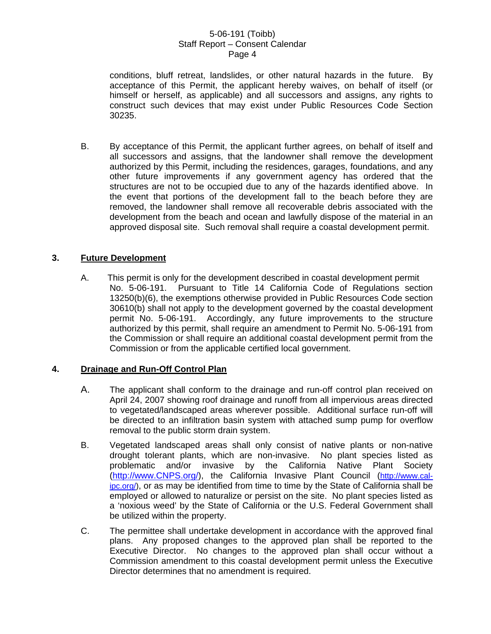conditions, bluff retreat, landslides, or other natural hazards in the future. By acceptance of this Permit, the applicant hereby waives, on behalf of itself (or himself or herself, as applicable) and all successors and assigns, any rights to construct such devices that may exist under Public Resources Code Section 30235.

B. By acceptance of this Permit, the applicant further agrees, on behalf of itself and all successors and assigns, that the landowner shall remove the development authorized by this Permit, including the residences, garages, foundations, and any other future improvements if any government agency has ordered that the structures are not to be occupied due to any of the hazards identified above. In the event that portions of the development fall to the beach before they are removed, the landowner shall remove all recoverable debris associated with the development from the beach and ocean and lawfully dispose of the material in an approved disposal site. Such removal shall require a coastal development permit.

## **3. Future Development**

A. This permit is only for the development described in coastal development permit No. 5-06-191. Pursuant to Title 14 California Code of Regulations section 13250(b)(6), the exemptions otherwise provided in Public Resources Code section 30610(b) shall not apply to the development governed by the coastal development permit No. 5-06-191. Accordingly, any future improvements to the structure authorized by this permit, shall require an amendment to Permit No. 5-06-191 from the Commission or shall require an additional coastal development permit from the Commission or from the applicable certified local government.

## **4. Drainage and Run-Off Control Plan**

- A. The applicant shall conform to the drainage and run-off control plan received on April 24, 2007 showing roof drainage and runoff from all impervious areas directed to vegetated/landscaped areas wherever possible. Additional surface run-off will be directed to an infiltration basin system with attached sump pump for overflow removal to the public storm drain system.
- B. Vegetated landscaped areas shall only consist of native plants or non-native drought tolerant plants, which are non-invasive. No plant species listed as problematic and/or invasive by the California Native Plant Society [\(http://www.CNPS.org/](http://www.cnps.org/)), the California Invasive Plant Council [\(http://www.cal](http://www.cal-ipc.org/)[ipc.org/\)](http://www.cal-ipc.org/), or as may be identified from time to time by the State of California shall be employed or allowed to naturalize or persist on the site. No plant species listed as a 'noxious weed' by the State of California or the U.S. Federal Government shall be utilized within the property.
- C. The permittee shall undertake development in accordance with the approved final plans. Any proposed changes to the approved plan shall be reported to the Executive Director. No changes to the approved plan shall occur without a Commission amendment to this coastal development permit unless the Executive Director determines that no amendment is required.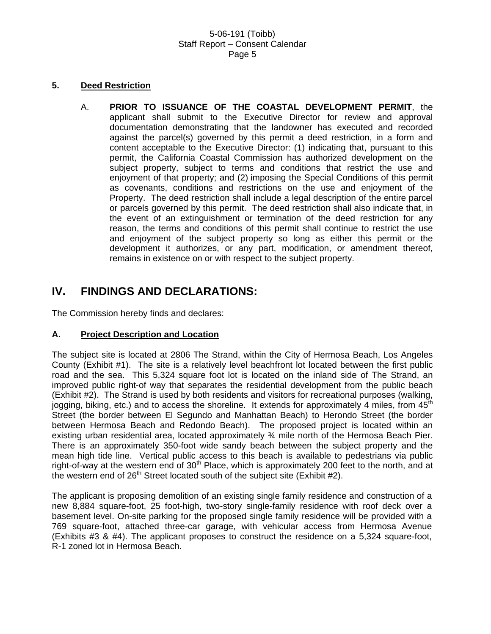### **5. Deed Restriction**

A. **PRIOR TO ISSUANCE OF THE COASTAL DEVELOPMENT PERMIT**, the applicant shall submit to the Executive Director for review and approval documentation demonstrating that the landowner has executed and recorded against the parcel(s) governed by this permit a deed restriction, in a form and content acceptable to the Executive Director: (1) indicating that, pursuant to this permit, the California Coastal Commission has authorized development on the subject property, subject to terms and conditions that restrict the use and enjoyment of that property; and (2) imposing the Special Conditions of this permit as covenants, conditions and restrictions on the use and enjoyment of the Property. The deed restriction shall include a legal description of the entire parcel or parcels governed by this permit. The deed restriction shall also indicate that, in the event of an extinguishment or termination of the deed restriction for any reason, the terms and conditions of this permit shall continue to restrict the use and enjoyment of the subject property so long as either this permit or the development it authorizes, or any part, modification, or amendment thereof, remains in existence on or with respect to the subject property.

# **IV. FINDINGS AND DECLARATIONS:**

The Commission hereby finds and declares:

## **A. Project Description and Location**

The subject site is located at 2806 The Strand, within the City of Hermosa Beach, Los Angeles County (Exhibit #1). The site is a relatively level beachfront lot located between the first public road and the sea. This 5,324 square foot lot is located on the inland side of The Strand, an improved public right-of way that separates the residential development from the public beach (Exhibit #2). The Strand is used by both residents and visitors for recreational purposes (walking, jogging, biking, etc.) and to access the shoreline. It extends for approximately 4 miles, from  $45<sup>th</sup>$ Street (the border between El Segundo and Manhattan Beach) to Herondo Street (the border between Hermosa Beach and Redondo Beach). The proposed project is located within an existing urban residential area, located approximately ¾ mile north of the Hermosa Beach Pier. There is an approximately 350-foot wide sandy beach between the subject property and the mean high tide line. Vertical public access to this beach is available to pedestrians via public right-of-way at the western end of  $30<sup>th</sup>$  Place, which is approximately 200 feet to the north, and at the western end of  $26<sup>th</sup>$  Street located south of the subject site (Exhibit #2).

The applicant is proposing demolition of an existing single family residence and construction of a new 8,884 square-foot, 25 foot-high, two-story single-family residence with roof deck over a basement level. On-site parking for the proposed single family residence will be provided with a 769 square-foot, attached three-car garage, with vehicular access from Hermosa Avenue (Exhibits #3 & #4). The applicant proposes to construct the residence on a 5,324 square-foot, R-1 zoned lot in Hermosa Beach.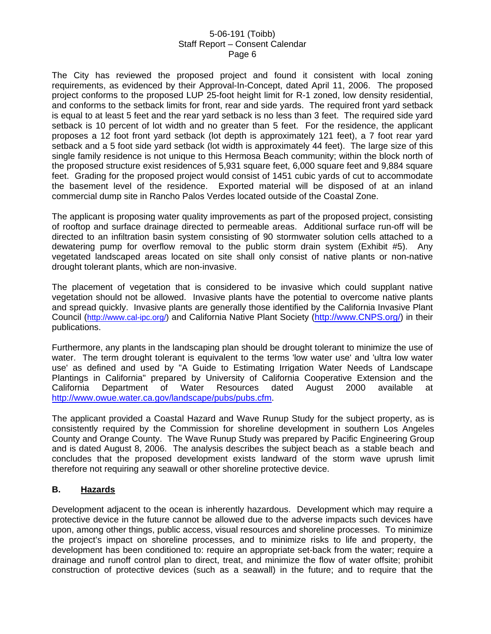The City has reviewed the proposed project and found it consistent with local zoning requirements, as evidenced by their Approval-In-Concept, dated April 11, 2006. The proposed project conforms to the proposed LUP 25-foot height limit for R-1 zoned, low density residential, and conforms to the setback limits for front, rear and side yards. The required front yard setback is equal to at least 5 feet and the rear yard setback is no less than 3 feet. The required side yard setback is 10 percent of lot width and no greater than 5 feet. For the residence, the applicant proposes a 12 foot front yard setback (lot depth is approximately 121 feet), a 7 foot rear yard setback and a 5 foot side yard setback (lot width is approximately 44 feet). The large size of this single family residence is not unique to this Hermosa Beach community; within the block north of the proposed structure exist residences of 5,931 square feet, 6,000 square feet and 9,884 square feet. Grading for the proposed project would consist of 1451 cubic yards of cut to accommodate the basement level of the residence. Exported material will be disposed of at an inland commercial dump site in Rancho Palos Verdes located outside of the Coastal Zone.

The applicant is proposing water quality improvements as part of the proposed project, consisting of rooftop and surface drainage directed to permeable areas. Additional surface run-off will be directed to an infiltration basin system consisting of 90 stormwater solution cells attached to a dewatering pump for overflow removal to the public storm drain system (Exhibit #5). Any vegetated landscaped areas located on site shall only consist of native plants or non-native drought tolerant plants, which are non-invasive.

The placement of vegetation that is considered to be invasive which could supplant native vegetation should not be allowed. Invasive plants have the potential to overcome native plants and spread quickly. Invasive plants are generally those identified by the California Invasive Plant Council (<http://www.cal-ipc.org/>) and California Native Plant Society ([http://www.CNPS.org/](http://www.cnps.org/)) in their publications.

Furthermore, any plants in the landscaping plan should be drought tolerant to minimize the use of water. The term drought tolerant is equivalent to the terms 'low water use' and 'ultra low water use' as defined and used by "A Guide to Estimating Irrigation Water Needs of Landscape Plantings in California" prepared by University of California Cooperative Extension and the California Department of Water Resources dated August 2000 available at [http://www.owue.water.ca.gov/landscape/pubs/pubs.cfm.](http://www.owue.water.ca.gov/landscape/pubs/pubs.cfm)

The applicant provided a Coastal Hazard and Wave Runup Study for the subject property, as is consistently required by the Commission for shoreline development in southern Los Angeles County and Orange County. The Wave Runup Study was prepared by Pacific Engineering Group and is dated August 8, 2006. The analysis describes the subject beach as a stable beach and concludes that the proposed development exists landward of the storm wave uprush limit therefore not requiring any seawall or other shoreline protective device.

## **B. Hazards**

Development adjacent to the ocean is inherently hazardous. Development which may require a protective device in the future cannot be allowed due to the adverse impacts such devices have upon, among other things, public access, visual resources and shoreline processes. To minimize the project's impact on shoreline processes, and to minimize risks to life and property, the development has been conditioned to: require an appropriate set-back from the water; require a drainage and runoff control plan to direct, treat, and minimize the flow of water offsite; prohibit construction of protective devices (such as a seawall) in the future; and to require that the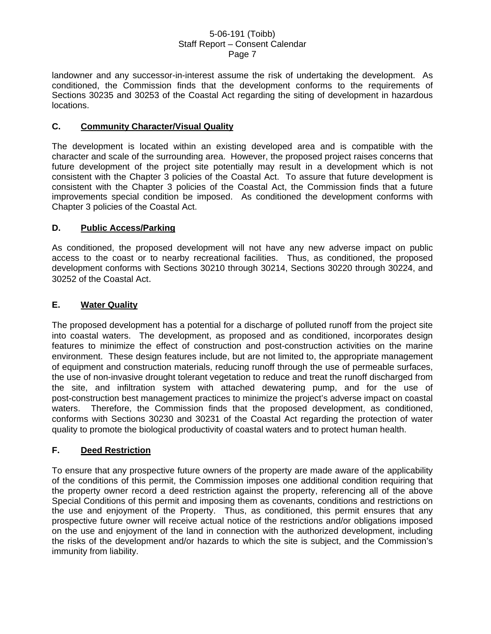landowner and any successor-in-interest assume the risk of undertaking the development. As conditioned, the Commission finds that the development conforms to the requirements of Sections 30235 and 30253 of the Coastal Act regarding the siting of development in hazardous locations.

## **C. Community Character/Visual Quality**

The development is located within an existing developed area and is compatible with the character and scale of the surrounding area. However, the proposed project raises concerns that future development of the project site potentially may result in a development which is not consistent with the Chapter 3 policies of the Coastal Act. To assure that future development is consistent with the Chapter 3 policies of the Coastal Act, the Commission finds that a future improvements special condition be imposed. As conditioned the development conforms with Chapter 3 policies of the Coastal Act.

## **D. Public Access/Parking**

As conditioned, the proposed development will not have any new adverse impact on public access to the coast or to nearby recreational facilities. Thus, as conditioned, the proposed development conforms with Sections 30210 through 30214, Sections 30220 through 30224, and 30252 of the Coastal Act.

## **E. Water Quality**

The proposed development has a potential for a discharge of polluted runoff from the project site into coastal waters. The development, as proposed and as conditioned, incorporates design features to minimize the effect of construction and post-construction activities on the marine environment. These design features include, but are not limited to, the appropriate management of equipment and construction materials, reducing runoff through the use of permeable surfaces, the use of non-invasive drought tolerant vegetation to reduce and treat the runoff discharged from the site, and infiltration system with attached dewatering pump, and for the use of post-construction best management practices to minimize the project's adverse impact on coastal waters. Therefore, the Commission finds that the proposed development, as conditioned, conforms with Sections 30230 and 30231 of the Coastal Act regarding the protection of water quality to promote the biological productivity of coastal waters and to protect human health.

## **F. Deed Restriction**

To ensure that any prospective future owners of the property are made aware of the applicability of the conditions of this permit, the Commission imposes one additional condition requiring that the property owner record a deed restriction against the property, referencing all of the above Special Conditions of this permit and imposing them as covenants, conditions and restrictions on the use and enjoyment of the Property. Thus, as conditioned, this permit ensures that any prospective future owner will receive actual notice of the restrictions and/or obligations imposed on the use and enjoyment of the land in connection with the authorized development, including the risks of the development and/or hazards to which the site is subject, and the Commission's immunity from liability.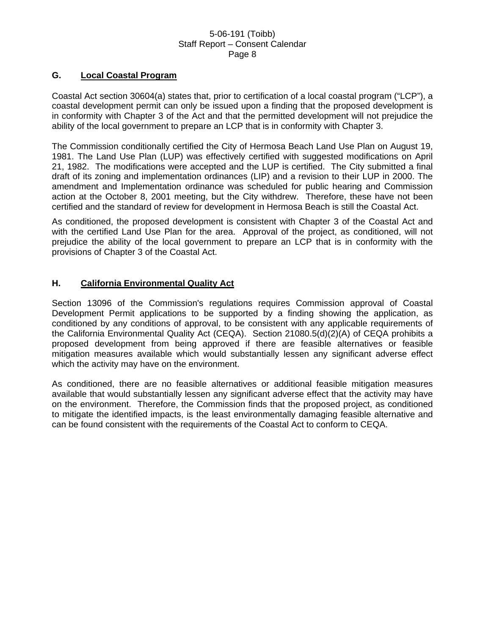### **G. Local Coastal Program**

Coastal Act section 30604(a) states that, prior to certification of a local coastal program ("LCP"), a coastal development permit can only be issued upon a finding that the proposed development is in conformity with Chapter 3 of the Act and that the permitted development will not prejudice the ability of the local government to prepare an LCP that is in conformity with Chapter 3.

The Commission conditionally certified the City of Hermosa Beach Land Use Plan on August 19, 1981. The Land Use Plan (LUP) was effectively certified with suggested modifications on April 21, 1982. The modifications were accepted and the LUP is certified. The City submitted a final draft of its zoning and implementation ordinances (LIP) and a revision to their LUP in 2000. The amendment and Implementation ordinance was scheduled for public hearing and Commission action at the October 8, 2001 meeting, but the City withdrew. Therefore, these have not been certified and the standard of review for development in Hermosa Beach is still the Coastal Act.

As conditioned, the proposed development is consistent with Chapter 3 of the Coastal Act and with the certified Land Use Plan for the area. Approval of the project, as conditioned, will not prejudice the ability of the local government to prepare an LCP that is in conformity with the provisions of Chapter 3 of the Coastal Act.

## **H. California Environmental Quality Act**

Section 13096 of the Commission's regulations requires Commission approval of Coastal Development Permit applications to be supported by a finding showing the application, as conditioned by any conditions of approval, to be consistent with any applicable requirements of the California Environmental Quality Act (CEQA). Section 21080.5(d)(2)(A) of CEQA prohibits a proposed development from being approved if there are feasible alternatives or feasible mitigation measures available which would substantially lessen any significant adverse effect which the activity may have on the environment.

As conditioned, there are no feasible alternatives or additional feasible mitigation measures available that would substantially lessen any significant adverse effect that the activity may have on the environment. Therefore, the Commission finds that the proposed project, as conditioned to mitigate the identified impacts, is the least environmentally damaging feasible alternative and can be found consistent with the requirements of the Coastal Act to conform to CEQA.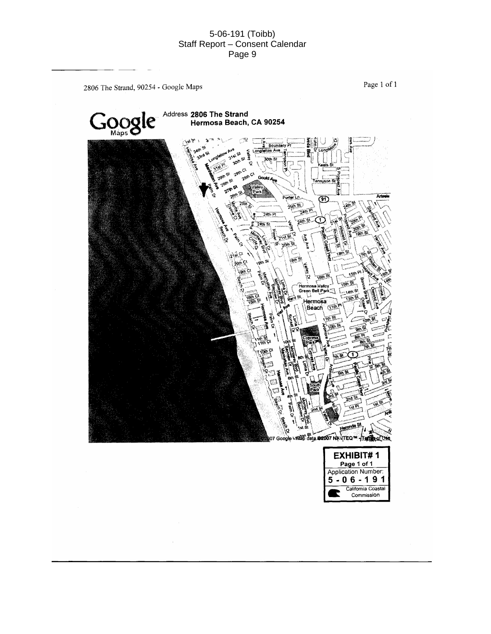2806 The Strand, 90254 - Google Maps

Page 1 of 1

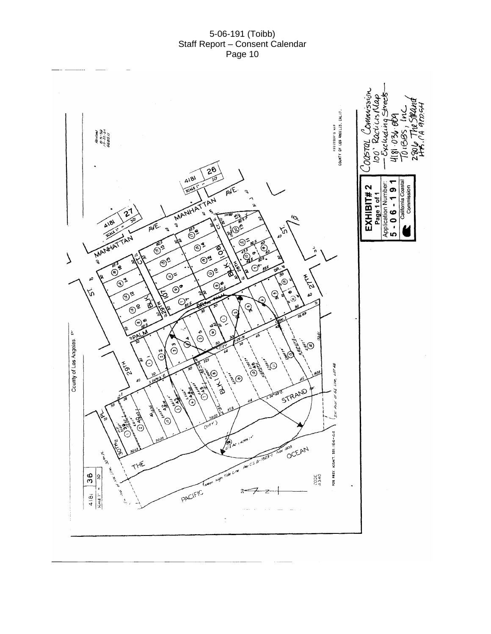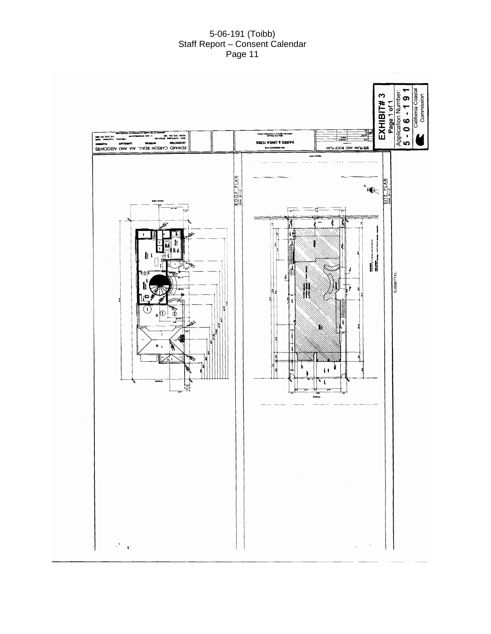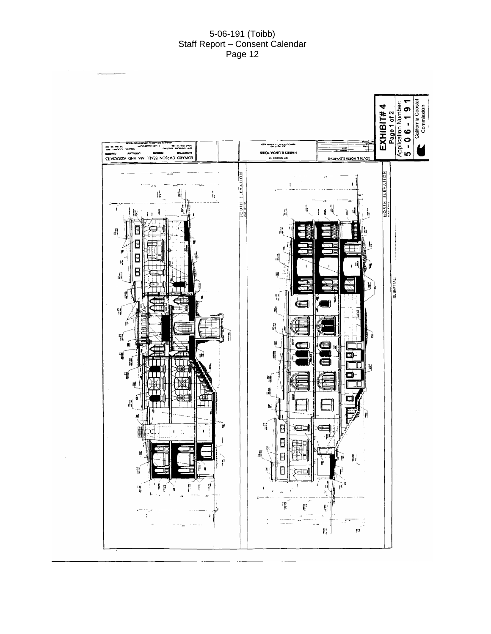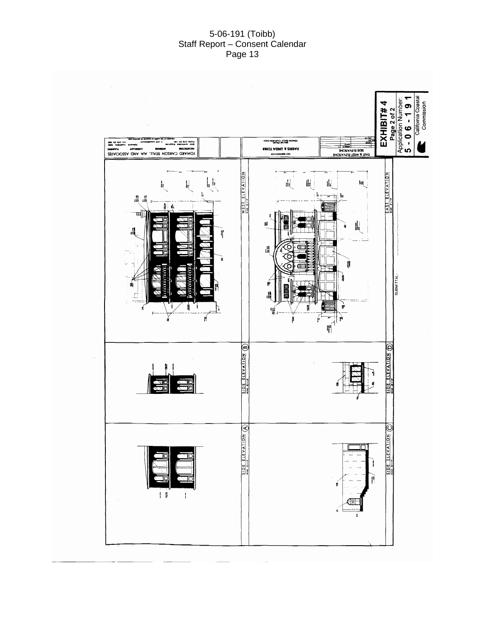